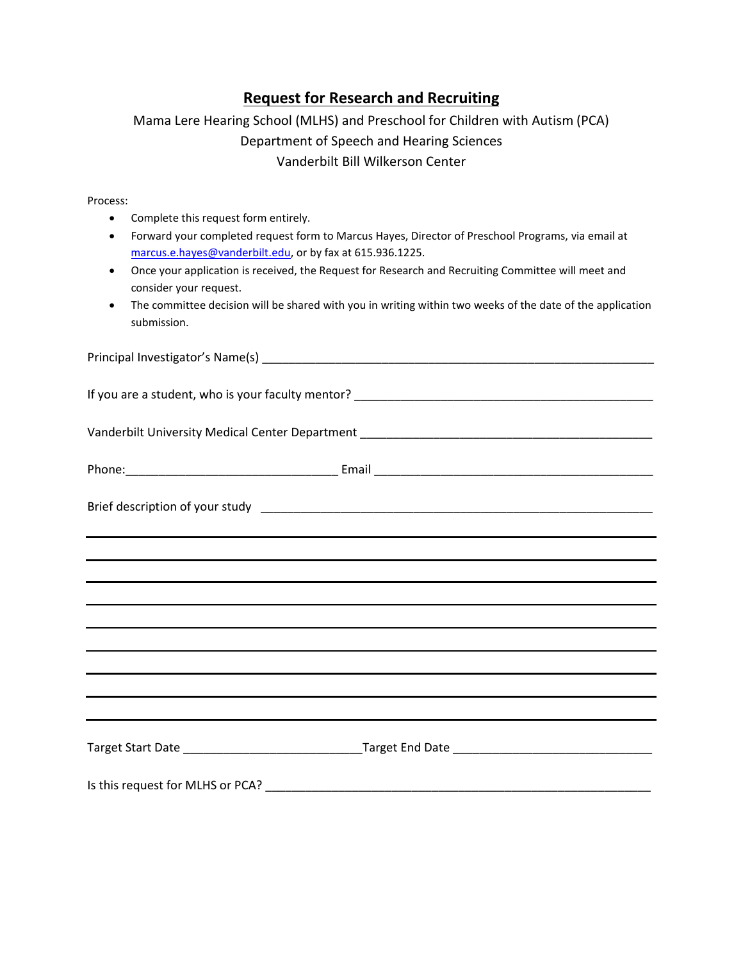## **Request for Research and Recruiting**

## Mama Lere Hearing School (MLHS) and Preschool for Children with Autism (PCA) Department of Speech and Hearing Sciences Vanderbilt Bill Wilkerson Center

Process:

- Complete this request form entirely.
- Forward your completed request form to Marcus Hayes, Director of Preschool Programs, via email at [marcus.e.hayes@vanderbilt.edu,](mailto:marcus.e.hayes@vanderbilt.edu) or by fax at 615.936.1225.
- Once your application is received, the Request for Research and Recruiting Committee will meet and consider your request.
- The committee decision will be shared with you in writing within two weeks of the date of the application submission.

| <u> 1989 - Andrea Andrew Maria (h. 1989).</u>                                    |
|----------------------------------------------------------------------------------|
|                                                                                  |
|                                                                                  |
| <u> 1989 - Andrea Andrew Maria (h. 1989).</u>                                    |
|                                                                                  |
|                                                                                  |
| ,我们也不会有什么。""我们的人,我们也不会有什么?""我们的人,我们也不会有什么?""我们的人,我们也不会有什么?""我们的人,我们也不会有什么?""我们的人 |
|                                                                                  |
|                                                                                  |
|                                                                                  |
|                                                                                  |